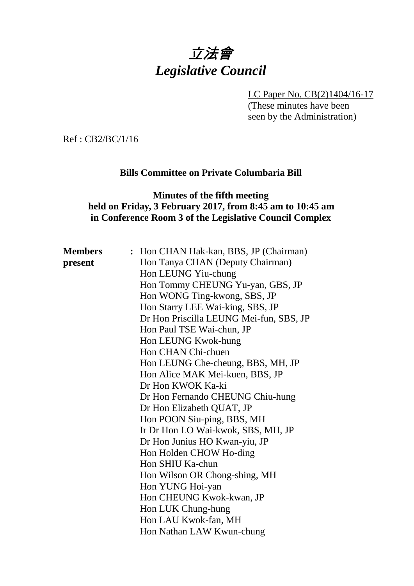# 立法會 *Legislative Council*

LC Paper No. CB(2)1404/16-17

(These minutes have been seen by the Administration)

Ref : CB2/BC/1/16

### **Bills Committee on Private Columbaria Bill**

#### **Minutes of the fifth meeting held on Friday, 3 February 2017, from 8:45 am to 10:45 am in Conference Room 3 of the Legislative Council Complex**

| <b>Members</b> | : Hon CHAN Hak-kan, BBS, JP (Chairman)  |
|----------------|-----------------------------------------|
| present        | Hon Tanya CHAN (Deputy Chairman)        |
|                | Hon LEUNG Yiu-chung                     |
|                | Hon Tommy CHEUNG Yu-yan, GBS, JP        |
|                | Hon WONG Ting-kwong, SBS, JP            |
|                | Hon Starry LEE Wai-king, SBS, JP        |
|                | Dr Hon Priscilla LEUNG Mei-fun, SBS, JP |
|                | Hon Paul TSE Wai-chun, JP               |
|                | Hon LEUNG Kwok-hung                     |
|                | Hon CHAN Chi-chuen                      |
|                | Hon LEUNG Che-cheung, BBS, MH, JP       |
|                | Hon Alice MAK Mei-kuen, BBS, JP         |
|                | Dr Hon KWOK Ka-ki                       |
|                | Dr Hon Fernando CHEUNG Chiu-hung        |
|                | Dr Hon Elizabeth QUAT, JP               |
|                | Hon POON Siu-ping, BBS, MH              |
|                | Ir Dr Hon LO Wai-kwok, SBS, MH, JP      |
|                | Dr Hon Junius HO Kwan-yiu, JP           |
|                | Hon Holden CHOW Ho-ding                 |
|                | Hon SHIU Ka-chun                        |
|                | Hon Wilson OR Chong-shing, MH           |
|                | Hon YUNG Hoi-yan                        |
|                | Hon CHEUNG Kwok-kwan, JP                |
|                | Hon LUK Chung-hung                      |
|                | Hon LAU Kwok-fan, MH                    |
|                | Hon Nathan LAW Kwun-chung               |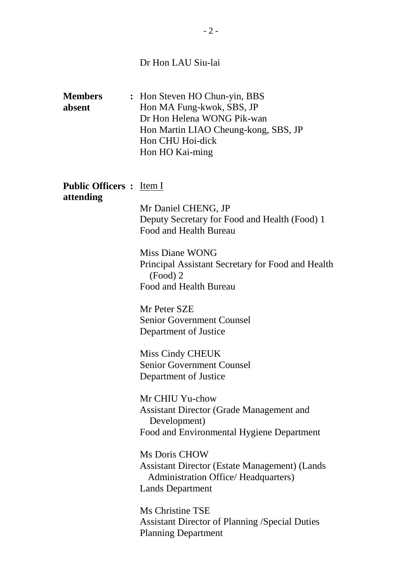# Dr Hon LAU Siu-lai

| <b>Members</b><br>absent                     | : Hon Steven HO Chun-yin, BBS<br>Hon MA Fung-kwok, SBS, JP<br>Dr Hon Helena WONG Pik-wan<br>Hon Martin LIAO Cheung-kong, SBS, JP<br>Hon CHU Hoi-dick<br>Hon HO Kai-ming |
|----------------------------------------------|-------------------------------------------------------------------------------------------------------------------------------------------------------------------------|
| <b>Public Officers :</b> Item I<br>attending | Mr Daniel CHENG, JP<br>Deputy Secretary for Food and Health (Food) 1<br>Food and Health Bureau                                                                          |
|                                              | Miss Diane WONG<br>Principal Assistant Secretary for Food and Health<br>$(Food)$ 2<br>Food and Health Bureau                                                            |
|                                              | Mr Peter SZE<br><b>Senior Government Counsel</b><br>Department of Justice                                                                                               |
|                                              | Miss Cindy CHEUK<br><b>Senior Government Counsel</b><br>Department of Justice                                                                                           |
|                                              | Mr CHIU Yu-chow<br><b>Assistant Director (Grade Management and</b><br>Development)<br>Food and Environmental Hygiene Department                                         |
|                                              | <b>Ms Doris CHOW</b><br><b>Assistant Director (Estate Management) (Lands</b><br><b>Administration Office/ Headquarters)</b><br><b>Lands Department</b>                  |
|                                              | Ms Christine TSE<br><b>Assistant Director of Planning /Special Duties</b><br><b>Planning Department</b>                                                                 |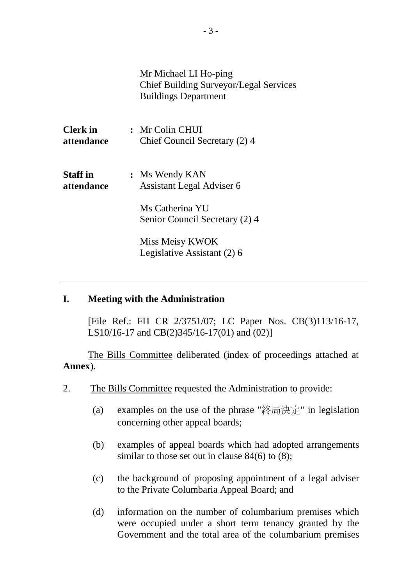|                               | Mr Michael LI Ho-ping<br>Chief Building Surveyor/Legal Services<br><b>Buildings Department</b> |
|-------------------------------|------------------------------------------------------------------------------------------------|
| <b>Clerk in</b><br>attendance | : Mr Colin CHUI<br>Chief Council Secretary (2) 4                                               |
| <b>Staff in</b><br>attendance | : Ms Wendy KAN<br><b>Assistant Legal Adviser 6</b>                                             |
|                               | Ms Catherina YU<br>Senior Council Secretary (2) 4                                              |
|                               | Miss Meisy KWOK<br>Legislative Assistant (2) 6                                                 |

#### **I. Meeting with the Administration**

[File Ref.: FH CR 2/3751/07; LC Paper Nos. CB(3)113/16-17, LS10/16-17 and CB(2)345/16-17(01) and (02)]

The Bills Committee deliberated (index of proceedings attached at **Annex**).

- 2. The Bills Committee requested the Administration to provide:
	- (a) examples on the use of the phrase "終局決定" in legislation concerning other appeal boards;
	- (b) examples of appeal boards which had adopted arrangements similar to those set out in clause 84(6) to (8);
	- (c) the background of proposing appointment of a legal adviser to the Private Columbaria Appeal Board; and
	- (d) information on the number of columbarium premises which were occupied under a short term tenancy granted by the Government and the total area of the columbarium premises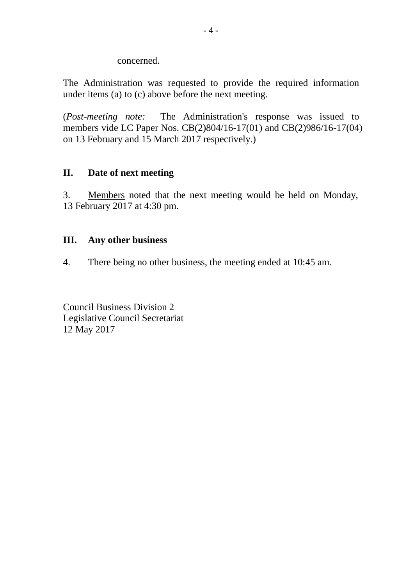concerned.

The Administration was requested to provide the required information under items (a) to (c) above before the next meeting.

(*Post-meeting note:* The Administration's response was issued to members vide LC Paper Nos. CB(2)804/16-17(01) and CB(2)986/16-17(04) on 13 February and 15 March 2017 respectively.)

#### **II. Date of next meeting**

3. Members noted that the next meeting would be held on Monday, 13 February 2017 at 4:30 pm.

#### **III. Any other business**

4. There being no other business, the meeting ended at 10:45 am.

Council Business Division 2 Legislative Council Secretariat 12 May 2017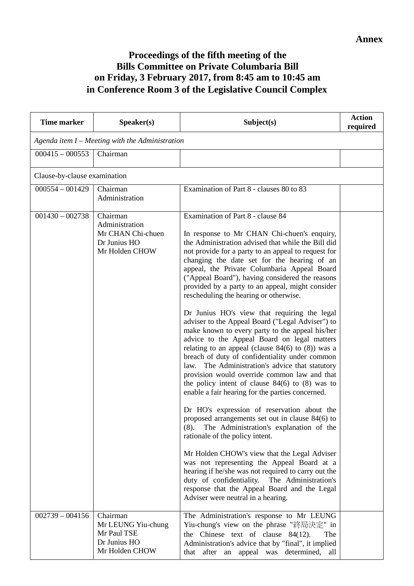## **Proceedings of the fifth meeting of the Bills Committee on Private Columbaria Bill on Friday, 3 February 2017, from 8:45 am to 10:45 am in Conference Room 3 of the Legislative Council Complex**

| <b>Time marker</b>           | Speaker(s)                                                                        | Subject(s)                                                                                                                                                                                                                                                                                                                                                                                                                                                                                                                                                                                                                                                                                                                                                                                                                                                                                                                                                                                                                                                                                                                                                                                                                                                                                                                                                                                                                     | <b>Action</b><br>required |
|------------------------------|-----------------------------------------------------------------------------------|--------------------------------------------------------------------------------------------------------------------------------------------------------------------------------------------------------------------------------------------------------------------------------------------------------------------------------------------------------------------------------------------------------------------------------------------------------------------------------------------------------------------------------------------------------------------------------------------------------------------------------------------------------------------------------------------------------------------------------------------------------------------------------------------------------------------------------------------------------------------------------------------------------------------------------------------------------------------------------------------------------------------------------------------------------------------------------------------------------------------------------------------------------------------------------------------------------------------------------------------------------------------------------------------------------------------------------------------------------------------------------------------------------------------------------|---------------------------|
|                              | Agenda item $I$ – Meeting with the Administration                                 |                                                                                                                                                                                                                                                                                                                                                                                                                                                                                                                                                                                                                                                                                                                                                                                                                                                                                                                                                                                                                                                                                                                                                                                                                                                                                                                                                                                                                                |                           |
| $000415 - 000553$            | Chairman                                                                          |                                                                                                                                                                                                                                                                                                                                                                                                                                                                                                                                                                                                                                                                                                                                                                                                                                                                                                                                                                                                                                                                                                                                                                                                                                                                                                                                                                                                                                |                           |
| Clause-by-clause examination |                                                                                   |                                                                                                                                                                                                                                                                                                                                                                                                                                                                                                                                                                                                                                                                                                                                                                                                                                                                                                                                                                                                                                                                                                                                                                                                                                                                                                                                                                                                                                |                           |
| $000554 - 001429$            | Chairman<br>Administration                                                        | Examination of Part 8 - clauses 80 to 83                                                                                                                                                                                                                                                                                                                                                                                                                                                                                                                                                                                                                                                                                                                                                                                                                                                                                                                                                                                                                                                                                                                                                                                                                                                                                                                                                                                       |                           |
| $001430 - 002738$            | Chairman<br>Administration<br>Mr CHAN Chi-chuen<br>Dr Junius HO<br>Mr Holden CHOW | Examination of Part 8 - clause 84<br>In response to Mr CHAN Chi-chuen's enquiry,<br>the Administration advised that while the Bill did<br>not provide for a party to an appeal to request for<br>changing the date set for the hearing of an<br>appeal, the Private Columbaria Appeal Board<br>("Appeal Board"), having considered the reasons<br>provided by a party to an appeal, might consider<br>rescheduling the hearing or otherwise.<br>Dr Junius HO's view that requiring the legal<br>adviser to the Appeal Board ("Legal Adviser") to<br>make known to every party to the appeal his/her<br>advice to the Appeal Board on legal matters<br>relating to an appeal (clause $84(6)$ to $(8)$ ) was a<br>breach of duty of confidentiality under common<br>law. The Administration's advice that statutory<br>provision would override common law and that<br>the policy intent of clause $84(6)$ to $(8)$ was to<br>enable a fair hearing for the parties concerned.<br>Dr HO's expression of reservation about the<br>proposed arrangements set out in clause 84(6) to<br>The Administration's explanation of the<br>(8).<br>rationale of the policy intent.<br>Mr Holden CHOW's view that the Legal Adviser<br>was not representing the Appeal Board at a<br>hearing if he/she was not required to carry out the<br>duty of confidentiality.<br>The Administration's<br>response that the Appeal Board and the Legal |                           |
|                              |                                                                                   | Adviser were neutral in a hearing.                                                                                                                                                                                                                                                                                                                                                                                                                                                                                                                                                                                                                                                                                                                                                                                                                                                                                                                                                                                                                                                                                                                                                                                                                                                                                                                                                                                             |                           |
| $002739 - 004156$            | Chairman<br>Mr LEUNG Yiu-chung<br>Mr Paul TSE<br>Dr Junius HO<br>Mr Holden CHOW   | The Administration's response to Mr LEUNG<br>Yiu-chung's view on the phrase "終局決定" in<br>the Chinese text of clause $84(12)$ .<br>The<br>Administration's advice that by "final", it implied<br>that after an appeal was determined, all                                                                                                                                                                                                                                                                                                                                                                                                                                                                                                                                                                                                                                                                                                                                                                                                                                                                                                                                                                                                                                                                                                                                                                                       |                           |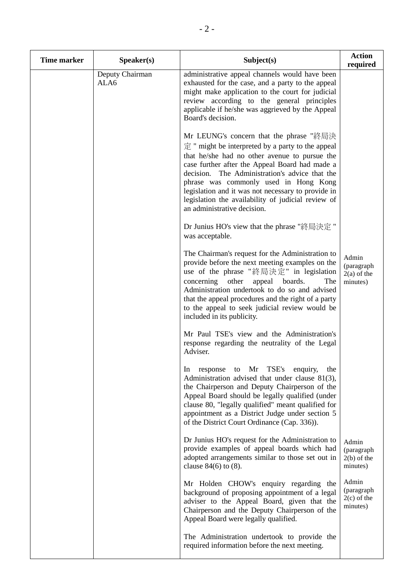| <b>Time marker</b> | Speaker(s)              | Subject(s)                                                                                                                                                                                                                                                                                                                                                                                                                                      | <b>Action</b><br>required                        |
|--------------------|-------------------------|-------------------------------------------------------------------------------------------------------------------------------------------------------------------------------------------------------------------------------------------------------------------------------------------------------------------------------------------------------------------------------------------------------------------------------------------------|--------------------------------------------------|
|                    | Deputy Chairman<br>ALA6 | administrative appeal channels would have been<br>exhausted for the case, and a party to the appeal<br>might make application to the court for judicial<br>review according to the general principles<br>applicable if he/she was aggrieved by the Appeal<br>Board's decision.                                                                                                                                                                  |                                                  |
|                    |                         | Mr LEUNG's concern that the phrase "終局決<br>$\hat{\pi}$ " might be interpreted by a party to the appeal<br>that he/she had no other avenue to pursue the<br>case further after the Appeal Board had made a<br>decision. The Administration's advice that the<br>phrase was commonly used in Hong Kong<br>legislation and it was not necessary to provide in<br>legislation the availability of judicial review of<br>an administrative decision. |                                                  |
|                    |                         | Dr Junius HO's view that the phrase "終局決定"<br>was acceptable.                                                                                                                                                                                                                                                                                                                                                                                   |                                                  |
|                    |                         | The Chairman's request for the Administration to<br>provide before the next meeting examples on the<br>use of the phrase "終局決定" in legislation<br>concerning<br>other<br>appeal boards.<br>The<br>Administration undertook to do so and advised<br>that the appeal procedures and the right of a party<br>to the appeal to seek judicial review would be<br>included in its publicity.                                                          | Admin<br>(paragraph<br>$2(a)$ of the<br>minutes) |
|                    |                         | Mr Paul TSE's view and the Administration's<br>response regarding the neutrality of the Legal<br>Adviser.                                                                                                                                                                                                                                                                                                                                       |                                                  |
|                    |                         | Mr TSE's<br>In<br>enquiry,<br>response to<br>the<br>Administration advised that under clause 81(3),<br>the Chairperson and Deputy Chairperson of the<br>Appeal Board should be legally qualified (under<br>clause 80, "legally qualified" meant qualified for<br>appointment as a District Judge under section 5<br>of the District Court Ordinance (Cap. 336)).                                                                                |                                                  |
|                    |                         | Dr Junius HO's request for the Administration to<br>provide examples of appeal boards which had<br>adopted arrangements similar to those set out in<br>clause $84(6)$ to $(8)$ .                                                                                                                                                                                                                                                                | Admin<br>(paragraph<br>$2(b)$ of the<br>minutes) |
|                    |                         | Mr Holden CHOW's enquiry regarding the<br>background of proposing appointment of a legal<br>adviser to the Appeal Board, given that the<br>Chairperson and the Deputy Chairperson of the<br>Appeal Board were legally qualified.                                                                                                                                                                                                                | Admin<br>(paragraph<br>$2(c)$ of the<br>minutes) |
|                    |                         | The Administration undertook to provide the<br>required information before the next meeting.                                                                                                                                                                                                                                                                                                                                                    |                                                  |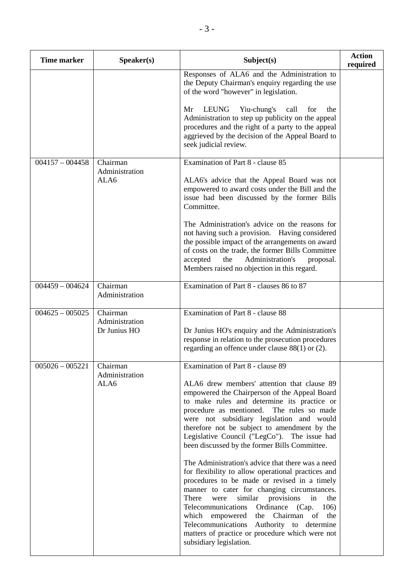| <b>Time marker</b> | Speaker(s)                 | Subject(s)                                                                                                                                                                                                                                                                                                                                                                                                                                                                             | <b>Action</b><br>required |
|--------------------|----------------------------|----------------------------------------------------------------------------------------------------------------------------------------------------------------------------------------------------------------------------------------------------------------------------------------------------------------------------------------------------------------------------------------------------------------------------------------------------------------------------------------|---------------------------|
|                    |                            | Responses of ALA6 and the Administration to<br>the Deputy Chairman's enquiry regarding the use<br>of the word "however" in legislation.                                                                                                                                                                                                                                                                                                                                                |                           |
|                    |                            | LEUNG<br>Yiu-chung's<br>call<br>Mr<br>for<br>the<br>Administration to step up publicity on the appeal<br>procedures and the right of a party to the appeal<br>aggrieved by the decision of the Appeal Board to<br>seek judicial review.                                                                                                                                                                                                                                                |                           |
| $004157 - 004458$  | Chairman<br>Administration | Examination of Part 8 - clause 85                                                                                                                                                                                                                                                                                                                                                                                                                                                      |                           |
|                    | ALA6                       | ALA6's advice that the Appeal Board was not<br>empowered to award costs under the Bill and the<br>issue had been discussed by the former Bills<br>Committee.                                                                                                                                                                                                                                                                                                                           |                           |
|                    |                            | The Administration's advice on the reasons for<br>not having such a provision. Having considered<br>the possible impact of the arrangements on award<br>of costs on the trade, the former Bills Committee<br>Administration's<br>accepted<br>the<br>proposal.<br>Members raised no objection in this regard.                                                                                                                                                                           |                           |
| $004459 - 004624$  | Chairman<br>Administration | Examination of Part 8 - clauses 86 to 87                                                                                                                                                                                                                                                                                                                                                                                                                                               |                           |
| $004625 - 005025$  | Chairman<br>Administration | Examination of Part 8 - clause 88                                                                                                                                                                                                                                                                                                                                                                                                                                                      |                           |
|                    | Dr Junius HO               | Dr Junius HO's enquiry and the Administration's<br>response in relation to the prosecution procedures<br>regarding an offence under clause 88(1) or (2).                                                                                                                                                                                                                                                                                                                               |                           |
| $005026 - 005221$  | Chairman<br>Administration | Examination of Part 8 - clause 89                                                                                                                                                                                                                                                                                                                                                                                                                                                      |                           |
|                    | ALA6                       | ALA6 drew members' attention that clause 89<br>empowered the Chairperson of the Appeal Board<br>to make rules and determine its practice or<br>procedure as mentioned. The rules so made<br>were not subsidiary legislation and would<br>therefore not be subject to amendment by the<br>Legislative Council ("LegCo"). The issue had<br>been discussed by the former Bills Committee.                                                                                                 |                           |
|                    |                            | The Administration's advice that there was a need<br>for flexibility to allow operational practices and<br>procedures to be made or revised in a timely<br>manner to cater for changing circumstances.<br>There<br>similar provisions<br>in<br>were<br>the<br>Telecommunications<br>Ordinance<br>(Cap.<br>106)<br>empowered the Chairman of<br>which<br>the<br>Telecommunications Authority to determine<br>matters of practice or procedure which were not<br>subsidiary legislation. |                           |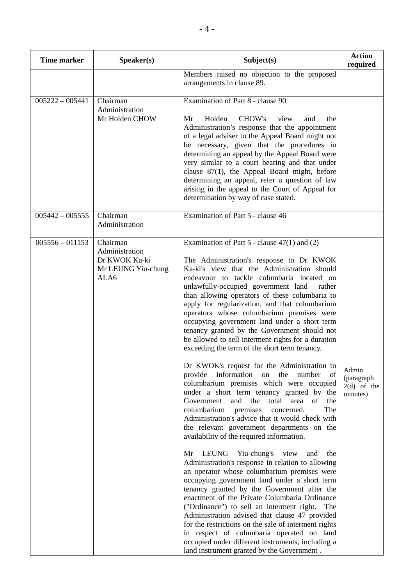| <b>Time marker</b> | Speaker(s)                                                                | Subject(s)                                                                                                                                                                                                                                                                                                                                                                                                                                                                                                                                                                                                                                                                                                                                                                                                                                                                                                                                                                                                                                                                                                                                                                                                                                                                                                                                                                                                                                                                                                                                                                                                                                                      | <b>Action</b><br>required                        |
|--------------------|---------------------------------------------------------------------------|-----------------------------------------------------------------------------------------------------------------------------------------------------------------------------------------------------------------------------------------------------------------------------------------------------------------------------------------------------------------------------------------------------------------------------------------------------------------------------------------------------------------------------------------------------------------------------------------------------------------------------------------------------------------------------------------------------------------------------------------------------------------------------------------------------------------------------------------------------------------------------------------------------------------------------------------------------------------------------------------------------------------------------------------------------------------------------------------------------------------------------------------------------------------------------------------------------------------------------------------------------------------------------------------------------------------------------------------------------------------------------------------------------------------------------------------------------------------------------------------------------------------------------------------------------------------------------------------------------------------------------------------------------------------|--------------------------------------------------|
|                    |                                                                           | Members raised no objection to the proposed<br>arrangements in clause 89.                                                                                                                                                                                                                                                                                                                                                                                                                                                                                                                                                                                                                                                                                                                                                                                                                                                                                                                                                                                                                                                                                                                                                                                                                                                                                                                                                                                                                                                                                                                                                                                       |                                                  |
| $005222 - 005441$  | Chairman<br>Administration<br>Mr Holden CHOW                              | Examination of Part 8 - clause 90<br>Holden<br>CHOW's<br>view<br>Mr<br>and<br>the<br>Administration's response that the appointment<br>of a legal adviser to the Appeal Board might not<br>be necessary, given that the procedures in<br>determining an appeal by the Appeal Board were<br>very similar to a court hearing and that under<br>clause $87(1)$ , the Appeal Board might, before<br>determining an appeal, refer a question of law<br>arising in the appeal to the Court of Appeal for<br>determination by way of case stated.                                                                                                                                                                                                                                                                                                                                                                                                                                                                                                                                                                                                                                                                                                                                                                                                                                                                                                                                                                                                                                                                                                                      |                                                  |
| $005442 - 005555$  | Chairman<br>Administration                                                | Examination of Part 5 - clause 46                                                                                                                                                                                                                                                                                                                                                                                                                                                                                                                                                                                                                                                                                                                                                                                                                                                                                                                                                                                                                                                                                                                                                                                                                                                                                                                                                                                                                                                                                                                                                                                                                               |                                                  |
| $005556 - 011153$  | Chairman<br>Administration<br>Dr KWOK Ka-ki<br>Mr LEUNG Yiu-chung<br>ALA6 | Examination of Part $5$ - clause $47(1)$ and $(2)$<br>The Administration's response to Dr KWOK<br>Ka-ki's view that the Administration should<br>endeavour to tackle columbaria located on<br>unlawfully-occupied government land<br>rather<br>than allowing operators of these columbaria to<br>apply for regularization, and that columbarium<br>operators whose columbarium premises were<br>occupying government land under a short term<br>tenancy granted by the Government should not<br>be allowed to sell interment rights for a duration<br>exceeding the term of the short term tenancy.<br>Dr KWOK's request for the Administration to<br>provide information on<br>the number<br>of<br>columbarium premises which were occupied<br>under a short term tenancy granted by the<br>Government<br>and the<br>total area<br>of<br>the<br>columbarium<br>The<br>premises<br>concerned.<br>Administration's advice that it would check with<br>the relevant government departments on the<br>availability of the required information.<br>Yiu-chung's view<br>LEUNG<br>Mr<br>and<br>the<br>Administration's response in relation to allowing<br>an operator whose columbarium premises were<br>occupying government land under a short term<br>tenancy granted by the Government after the<br>enactment of the Private Columbaria Ordinance<br>("Ordinance") to sell an interment right.<br>The<br>Administration advised that clause 47 provided<br>for the restrictions on the sale of interment rights<br>in respect of columbaria operated on land<br>occupied under different instruments, including a<br>land instrument granted by the Government. | Admin<br>(paragraph<br>$2(d)$ of the<br>minutes) |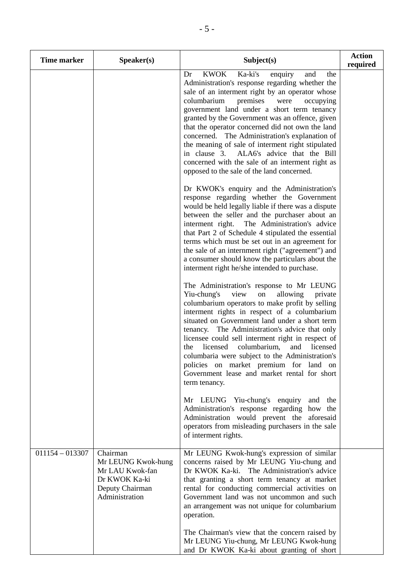| <b>Time marker</b> | Speaker(s)                                                                                              | Subject(s)                                                                                                                                                                                                                                                                                                                                                                                                                                                                                                                                                                                                                                                                                                                                                                                                                                                                                                                                                                                                                                                                                                                                                                                                                                                                                                                                                                                                                                                                                                                                                                                                                                                                                                                                                                                                                                                                  | <b>Action</b><br>required |
|--------------------|---------------------------------------------------------------------------------------------------------|-----------------------------------------------------------------------------------------------------------------------------------------------------------------------------------------------------------------------------------------------------------------------------------------------------------------------------------------------------------------------------------------------------------------------------------------------------------------------------------------------------------------------------------------------------------------------------------------------------------------------------------------------------------------------------------------------------------------------------------------------------------------------------------------------------------------------------------------------------------------------------------------------------------------------------------------------------------------------------------------------------------------------------------------------------------------------------------------------------------------------------------------------------------------------------------------------------------------------------------------------------------------------------------------------------------------------------------------------------------------------------------------------------------------------------------------------------------------------------------------------------------------------------------------------------------------------------------------------------------------------------------------------------------------------------------------------------------------------------------------------------------------------------------------------------------------------------------------------------------------------------|---------------------------|
|                    |                                                                                                         | <b>KWOK</b><br>Ka-ki's<br>Dr<br>enquiry<br>and<br>the<br>Administration's response regarding whether the<br>sale of an interment right by an operator whose<br>columbarium<br>premises<br>were<br>occupying<br>government land under a short term tenancy<br>granted by the Government was an offence, given<br>that the operator concerned did not own the land<br>concerned. The Administration's explanation of<br>the meaning of sale of interment right stipulated<br>in clause 3. ALA6's advice that the Bill<br>concerned with the sale of an interment right as<br>opposed to the sale of the land concerned.<br>Dr KWOK's enquiry and the Administration's<br>response regarding whether the Government<br>would be held legally liable if there was a dispute<br>between the seller and the purchaser about an<br>interment right. The Administration's advice<br>that Part 2 of Schedule 4 stipulated the essential<br>terms which must be set out in an agreement for<br>the sale of an internment right ("agreement") and<br>a consumer should know the particulars about the<br>interment right he/she intended to purchase.<br>The Administration's response to Mr LEUNG<br>Yiu-chung's<br>view<br>${\rm on}$<br>allowing<br>private<br>columbarium operators to make profit by selling<br>interment rights in respect of a columbarium<br>situated on Government land under a short term<br>tenancy. The Administration's advice that only<br>licensee could sell interment right in respect of<br>licensed<br>columbarium,<br>and<br>licensed<br>the<br>columbaria were subject to the Administration's<br>policies on market premium for land on<br>Government lease and market rental for short<br>term tenancy.<br>Mr LEUNG Yiu-chung's enquiry<br>and the<br>Administration's response regarding how the<br>Administration would prevent the aforesaid |                           |
|                    |                                                                                                         | operators from misleading purchasers in the sale<br>of interment rights.                                                                                                                                                                                                                                                                                                                                                                                                                                                                                                                                                                                                                                                                                                                                                                                                                                                                                                                                                                                                                                                                                                                                                                                                                                                                                                                                                                                                                                                                                                                                                                                                                                                                                                                                                                                                    |                           |
| $011154 - 013307$  | Chairman<br>Mr LEUNG Kwok-hung<br>Mr LAU Kwok-fan<br>Dr KWOK Ka-ki<br>Deputy Chairman<br>Administration | Mr LEUNG Kwok-hung's expression of similar<br>concerns raised by Mr LEUNG Yiu-chung and<br>Dr KWOK Ka-ki. The Administration's advice<br>that granting a short term tenancy at market<br>rental for conducting commercial activities on<br>Government land was not uncommon and such<br>an arrangement was not unique for columbarium<br>operation.<br>The Chairman's view that the concern raised by                                                                                                                                                                                                                                                                                                                                                                                                                                                                                                                                                                                                                                                                                                                                                                                                                                                                                                                                                                                                                                                                                                                                                                                                                                                                                                                                                                                                                                                                       |                           |
|                    |                                                                                                         | Mr LEUNG Yiu-chung, Mr LEUNG Kwok-hung<br>and Dr KWOK Ka-ki about granting of short                                                                                                                                                                                                                                                                                                                                                                                                                                                                                                                                                                                                                                                                                                                                                                                                                                                                                                                                                                                                                                                                                                                                                                                                                                                                                                                                                                                                                                                                                                                                                                                                                                                                                                                                                                                         |                           |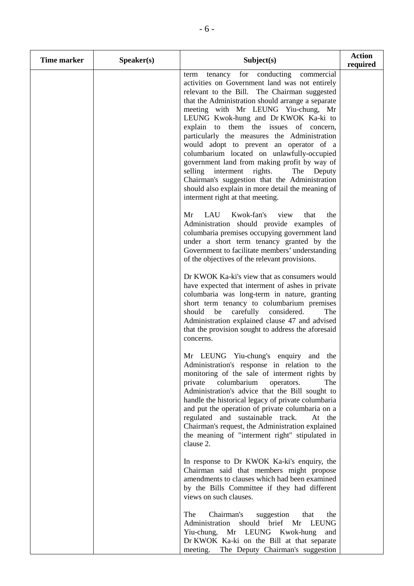| <b>Time marker</b> | Speaker(s) | Subject(s)                                                                                                                                                                                                                                                                                                                                                                                                                                                                                                                                                                                                                                                                                                    | <b>Action</b><br>required |
|--------------------|------------|---------------------------------------------------------------------------------------------------------------------------------------------------------------------------------------------------------------------------------------------------------------------------------------------------------------------------------------------------------------------------------------------------------------------------------------------------------------------------------------------------------------------------------------------------------------------------------------------------------------------------------------------------------------------------------------------------------------|---------------------------|
|                    |            | tenancy for conducting commercial<br>term<br>activities on Government land was not entirely<br>relevant to the Bill. The Chairman suggested<br>that the Administration should arrange a separate<br>meeting with Mr LEUNG Yiu-chung, Mr<br>LEUNG Kwok-hung and Dr KWOK Ka-ki to<br>explain to them the issues of concern,<br>particularly the measures the Administration<br>would adopt to prevent an operator of a<br>columbarium located on unlawfully-occupied<br>government land from making profit by way of<br>selling<br>interment rights.<br>The<br>Deputy<br>Chairman's suggestion that the Administration<br>should also explain in more detail the meaning of<br>interment right at that meeting. |                           |
|                    |            | LAU<br>Kwok-fan's<br>Mr<br>view<br>that<br>the<br>Administration should provide examples of<br>columbaria premises occupying government land<br>under a short term tenancy granted by the<br>Government to facilitate members' understanding<br>of the objectives of the relevant provisions.                                                                                                                                                                                                                                                                                                                                                                                                                 |                           |
|                    |            | Dr KWOK Ka-ki's view that as consumers would<br>have expected that interment of ashes in private<br>columbaria was long-term in nature, granting<br>short term tenancy to columbarium premises<br>be carefully considered.<br>should<br>The<br>Administration explained clause 47 and advised<br>that the provision sought to address the aforesaid<br>concerns.                                                                                                                                                                                                                                                                                                                                              |                           |
|                    |            | Mr LEUNG Yiu-chung's enquiry and the<br>Administration's response in relation to the<br>monitoring of the sale of interment rights by<br>private<br>columbarium<br>operators.<br>The<br>Administration's advice that the Bill sought to<br>handle the historical legacy of private columbaria<br>and put the operation of private columbaria on a<br>regulated and sustainable track.<br>At the<br>Chairman's request, the Administration explained<br>the meaning of "interment right" stipulated in<br>clause 2.                                                                                                                                                                                            |                           |
|                    |            | In response to Dr KWOK Ka-ki's enquiry, the<br>Chairman said that members might propose<br>amendments to clauses which had been examined<br>by the Bills Committee if they had different<br>views on such clauses.                                                                                                                                                                                                                                                                                                                                                                                                                                                                                            |                           |
|                    |            | The<br>Chairman's<br>suggestion<br>that<br>the<br>Administration<br>should brief<br><b>LEUNG</b><br>Mr<br>Yiu-chung, Mr LEUNG Kwok-hung<br>and<br>Dr KWOK Ka-ki on the Bill at that separate<br>The Deputy Chairman's suggestion<br>meeting.                                                                                                                                                                                                                                                                                                                                                                                                                                                                  |                           |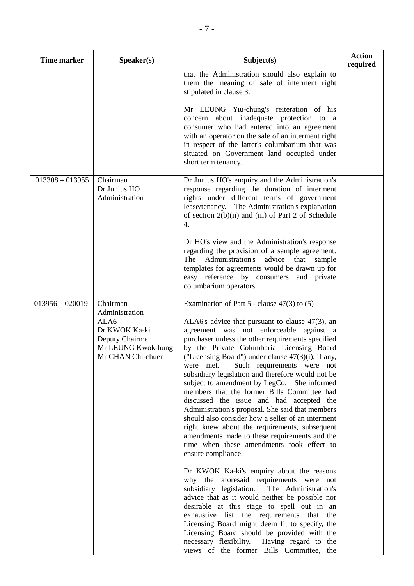| <b>Time marker</b> | Speaker(s)                                                                                                        | Subject(s)                                                                                                                                                                                                                                                                                                                                                                                                                                                                                                                                                                                                                                                                                                                                                                                                                                                                         | <b>Action</b><br>required |
|--------------------|-------------------------------------------------------------------------------------------------------------------|------------------------------------------------------------------------------------------------------------------------------------------------------------------------------------------------------------------------------------------------------------------------------------------------------------------------------------------------------------------------------------------------------------------------------------------------------------------------------------------------------------------------------------------------------------------------------------------------------------------------------------------------------------------------------------------------------------------------------------------------------------------------------------------------------------------------------------------------------------------------------------|---------------------------|
|                    |                                                                                                                   | that the Administration should also explain to<br>them the meaning of sale of interment right<br>stipulated in clause 3.                                                                                                                                                                                                                                                                                                                                                                                                                                                                                                                                                                                                                                                                                                                                                           |                           |
|                    |                                                                                                                   | Mr LEUNG Yiu-chung's reiteration of his<br>concern about inadequate protection to a<br>consumer who had entered into an agreement<br>with an operator on the sale of an interment right<br>in respect of the latter's columbarium that was<br>situated on Government land occupied under<br>short term tenancy.                                                                                                                                                                                                                                                                                                                                                                                                                                                                                                                                                                    |                           |
| $013308 - 013955$  | Chairman<br>Dr Junius HO<br>Administration                                                                        | Dr Junius HO's enquiry and the Administration's<br>response regarding the duration of interment<br>rights under different terms of government<br>lease/tenancy. The Administration's explanation<br>of section $2(b)(ii)$ and (iii) of Part 2 of Schedule<br>4.                                                                                                                                                                                                                                                                                                                                                                                                                                                                                                                                                                                                                    |                           |
|                    |                                                                                                                   | Dr HO's view and the Administration's response<br>regarding the provision of a sample agreement.<br>Administration's<br><b>The</b><br>advice<br>that<br>sample<br>templates for agreements would be drawn up for<br>easy reference by consumers and private<br>columbarium operators.                                                                                                                                                                                                                                                                                                                                                                                                                                                                                                                                                                                              |                           |
| $013956 - 020019$  | Chairman<br>Administration<br>ALA6<br>Dr KWOK Ka-ki<br>Deputy Chairman<br>Mr LEUNG Kwok-hung<br>Mr CHAN Chi-chuen | Examination of Part $5$ - clause $47(3)$ to $(5)$<br>ALA6's advice that pursuant to clause $47(3)$ , an<br>agreement was not enforceable against a<br>purchaser unless the other requirements specified<br>by the Private Columbaria Licensing Board<br>("Licensing Board") under clause $47(3)(i)$ , if any,<br>Such requirements were not<br>were met.<br>subsidiary legislation and therefore would not be<br>subject to amendment by LegCo. She informed<br>members that the former Bills Committee had<br>discussed the issue and had accepted the<br>Administration's proposal. She said that members<br>should also consider how a seller of an interment<br>right knew about the requirements, subsequent<br>amendments made to these requirements and the<br>time when these amendments took effect to<br>ensure compliance.<br>Dr KWOK Ka-ki's enquiry about the reasons |                           |
|                    |                                                                                                                   | why the aforesaid requirements were not<br>subsidiary legislation.<br>The Administration's<br>advice that as it would neither be possible nor<br>desirable at this stage to spell out in an<br>exhaustive list the requirements that<br>the<br>Licensing Board might deem fit to specify, the<br>Licensing Board should be provided with the<br>necessary flexibility. Having regard to the<br>views of the former Bills Committee, the                                                                                                                                                                                                                                                                                                                                                                                                                                            |                           |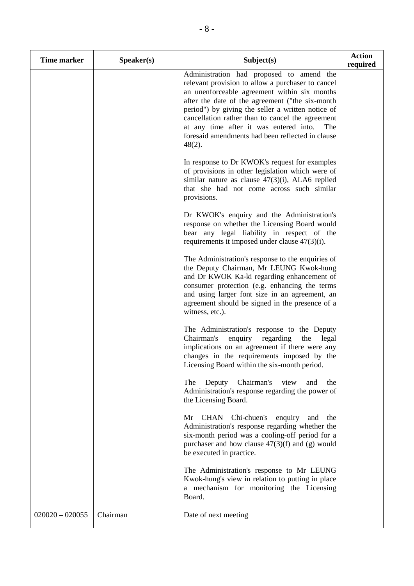| <b>Time marker</b> | Speaker(s) | Subject(s)                                                                                                                                                                                                                                                                                                                                                                                                                   | <b>Action</b><br>required |
|--------------------|------------|------------------------------------------------------------------------------------------------------------------------------------------------------------------------------------------------------------------------------------------------------------------------------------------------------------------------------------------------------------------------------------------------------------------------------|---------------------------|
|                    |            | Administration had proposed to amend the<br>relevant provision to allow a purchaser to cancel<br>an unenforceable agreement within six months<br>after the date of the agreement ("the six-month"<br>period") by giving the seller a written notice of<br>cancellation rather than to cancel the agreement<br>at any time after it was entered into.<br>The<br>foresaid amendments had been reflected in clause<br>$48(2)$ . |                           |
|                    |            | In response to Dr KWOK's request for examples<br>of provisions in other legislation which were of<br>similar nature as clause $47(3)(i)$ , ALA6 replied<br>that she had not come across such similar<br>provisions.                                                                                                                                                                                                          |                           |
|                    |            | Dr KWOK's enquiry and the Administration's<br>response on whether the Licensing Board would<br>bear any legal liability in respect of the<br>requirements it imposed under clause $47(3)(i)$ .                                                                                                                                                                                                                               |                           |
|                    |            | The Administration's response to the enquiries of<br>the Deputy Chairman, Mr LEUNG Kwok-hung<br>and Dr KWOK Ka-ki regarding enhancement of<br>consumer protection (e.g. enhancing the terms<br>and using larger font size in an agreement, an<br>agreement should be signed in the presence of a<br>witness, etc.).                                                                                                          |                           |
|                    |            | The Administration's response to the Deputy<br>enquiry<br>Chairman's<br>regarding<br>the<br>legal<br>implications on an agreement if there were any<br>changes in the requirements imposed by the<br>Licensing Board within the six-month period.                                                                                                                                                                            |                           |
|                    |            | Chairman's<br>view<br>The<br>Deputy<br>and<br>the<br>Administration's response regarding the power of<br>the Licensing Board.                                                                                                                                                                                                                                                                                                |                           |
|                    |            | CHAN Chi-chuen's<br>Mr<br>enquiry<br>the<br>and<br>Administration's response regarding whether the<br>six-month period was a cooling-off period for a<br>purchaser and how clause $47(3)(f)$ and (g) would<br>be executed in practice.                                                                                                                                                                                       |                           |
|                    |            | The Administration's response to Mr LEUNG<br>Kwok-hung's view in relation to putting in place<br>a mechanism for monitoring the Licensing<br>Board.                                                                                                                                                                                                                                                                          |                           |
| $020020 - 020055$  | Chairman   | Date of next meeting                                                                                                                                                                                                                                                                                                                                                                                                         |                           |